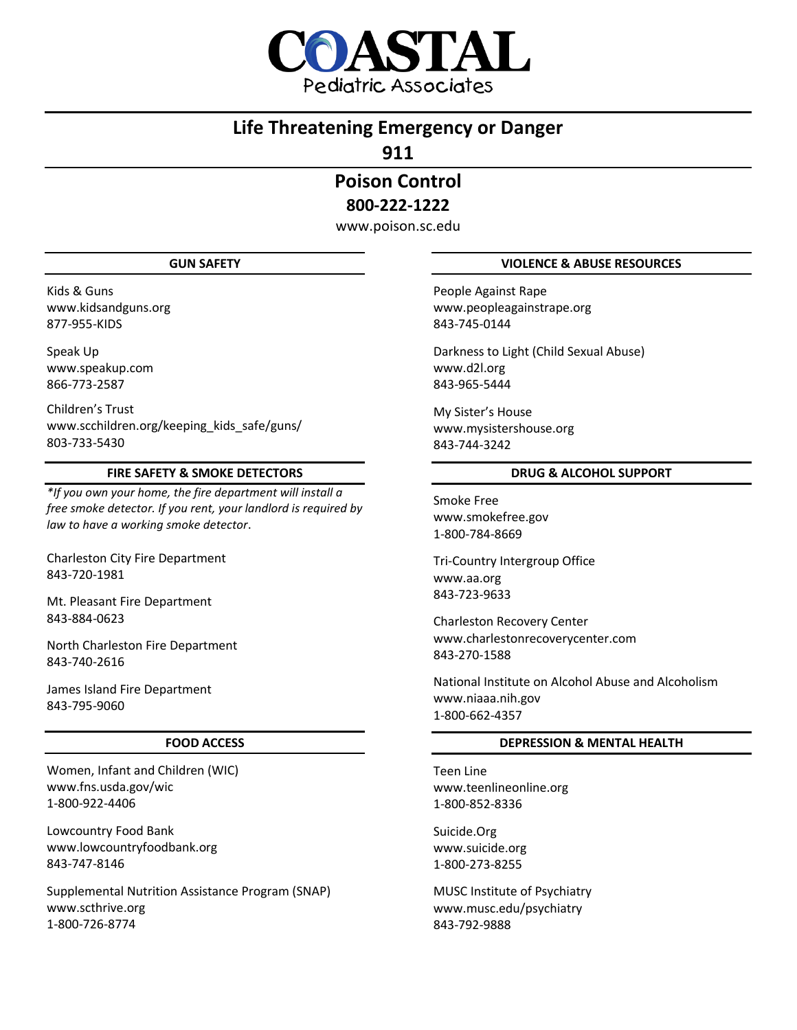

# **Life Threatening Emergency or Danger**

**911**

**Poison Control 800-222-1222**

www.poison.sc.edu

## **GUN SAFETY**

Kids & Guns www.kidsandguns.org 877-955-KIDS

Speak Up www.speakup.com 866-773-2587

Children's Trust www.scchildren.org/keeping\_kids\_safe/guns/ 803-733-5430

# **FIRE SAFETY & SMOKE DETECTORS**

*\*If you own your home, the fire department will install a free smoke detector. If you rent, your landlord is required by law to have a working smoke detector*.

Charleston City Fire Department 843-720-1981

Mt. Pleasant Fire Department 843-884-0623

North Charleston Fire Department 843-740-2616

James Island Fire Department 843-795-9060

## **FOOD ACCESS**

Women, Infant and Children (WIC) www.fns.usda.gov/wic 1-800-922-4406

Lowcountry Food Bank www.lowcountryfoodbank.org 843-747-8146

Supplemental Nutrition Assistance Program (SNAP) www.scthrive.org 1-800-726-8774

# **VIOLENCE & ABUSE RESOURCES**

People Against Rape www.peopleagainstrape.org 843-745-0144

Darkness to Light (Child Sexual Abuse) www.d2l.org 843-965-5444

My Sister's House www.mysistershouse.org 843-744-3242

# **DRUG & ALCOHOL SUPPORT**

Smoke Free www.smokefree.gov 1-800-784-8669

Tri-Country Intergroup Office www.aa.org 843-723-9633

Charleston Recovery Center www.charlestonrecoverycenter.com 843-270-1588

National Institute on Alcohol Abuse and Alcoholism www.niaaa.nih.gov 1-800-662-4357

# **DEPRESSION & MENTAL HEALTH**

Teen Line www.teenlineonline.org 1-800-852-8336

Suicide.Org www.suicide.org 1-800-273-8255

MUSC Institute of Psychiatry www.musc.edu/psychiatry 843-792-9888